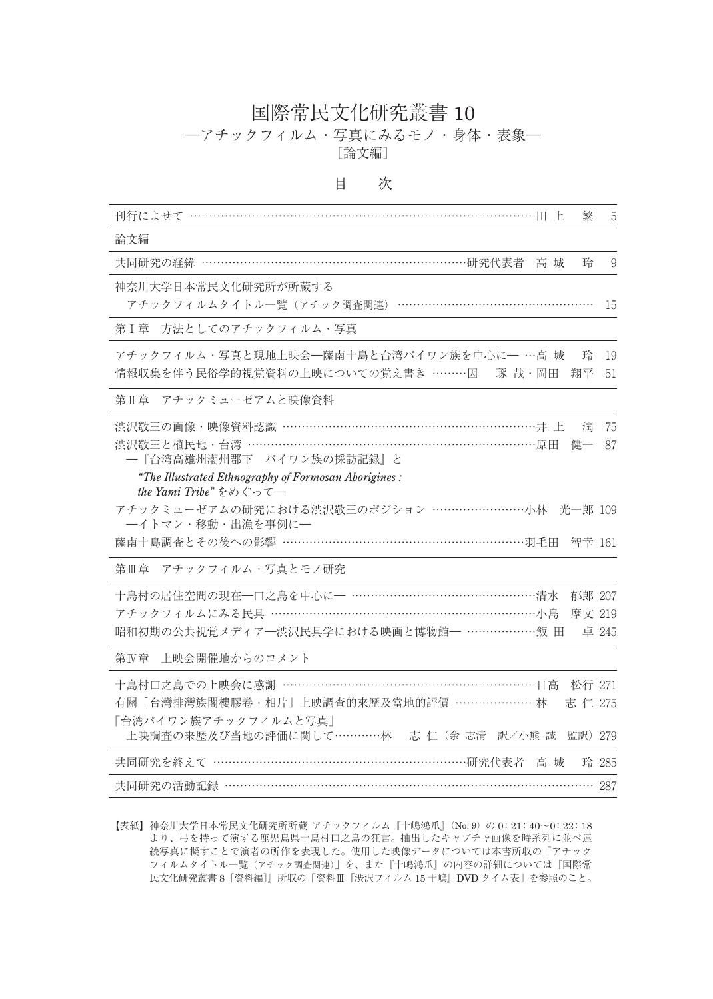## 国際常民文化研究叢書 10

―アチックフィルム・写真にみるモノ・身体・表象―

[論文編]

目 次

| 刊行によせて …………………………………………………………………………田上<br>繁                                                                                                                               | 5                         |
|--------------------------------------------------------------------------------------------------------------------------------------------------------------------------|---------------------------|
| 論文編                                                                                                                                                                      |                           |
| 共同研究の経緯 ……………………………………………………………研究代表者 高城<br>玲                                                                                                                             | 9                         |
| 神奈川大学日本常民文化研究所が所蔵する<br>アチックフィルムタイトル一覧 (アチック調査関連) ………                                                                                                                     | 15                        |
| 方法としてのアチックフィルム・写真<br>第 I 章                                                                                                                                               |                           |
| アチックフィルム・写真と現地上映会―薩南十島と台湾パイワン族を中心に― …高 城<br>玲<br>情報収集を伴う民俗学的視覚資料の上映についての覚え書き ………因 琢 哉・岡田<br>翔平                                                                           | 19<br>51                  |
| 第Ⅱ章 アチックミューゼアムと映像資料                                                                                                                                                      |                           |
| 渋沢敬三の画像・映像資料認識 ……………………………………………………………井上<br>潤<br>渋沢敬三と植民地・台湾 …………………………………………………………………原田<br>健一<br>一『台湾高雄州潮州郡下 パイワン族の採訪記録』と                                               | 75<br>87                  |
| "The Illustrated Ethnography of Formosan Aborigines:<br>the Yami Tribe" をめぐって–                                                                                           |                           |
| アチックミューゼアムの研究における渋沢敬三のポジション ………………………小林 光一郎 109<br>一イトマン・移動・出漁を事例に–                                                                                                      |                           |
| 薩南十島調査とその後への影響 …………………………………………………………… 羽毛田                                                                                                                               | 智幸 161                    |
| アチックフィルム・写真とモノ研究<br>第Ⅲ章                                                                                                                                                  |                           |
| アチックフィルムにみる民具 ……………………………………………………………小島<br>昭和初期の公共視覚メディア一渋沢民具学における映画と博物館– ………………飯田                                                                                       | 郁郎 207<br>摩文 219<br>卓 245 |
| 上映会開催地からのコメント<br>第Ⅳ章                                                                                                                                                     |                           |
| 十島村口之島での上映会に感謝 …………………………………………………………日高<br>有關「台灣排灣族閣樓膠卷・相片」上映調查的來歷及當地的評價 …………………林<br>志 仁 275<br>「台湾パイワン族アチックフィルムと写真」<br>上映調査の来歴及び当地の評価に関して…………林 志 仁 (余 志清 訳/小熊 誠 監訳) 279 | 松行 271                    |
| 共同研究を終えて ………………………………………………………研究代表者<br>高 城                                                                                                                               | 玲 285                     |
| 共同研究の活動記録 ……………………………………………………………………………… 287                                                                                                                             |                           |

【表紙】神奈川大学日本常民文化研究所所蔵 アチックフィルム『十嶋鴻爪』(No. 9)の 0: 21: 40~0: 22: 18 より、弓を持って演ずる鹿児島県十島村口之島の狂言。抽出したキャプチャ画像を時系列に並べ連 続写真に擬すことで演者の所作を表現した。使用した映像データについては本書所収の「アチック フィルムタイトル一覧(アチック調査関連)」を、また『十嶋鴻爪』の内容の詳細については『国際常 民文化研究叢書 8[資料編]』所収の「資料Ⅲ『渋沢フィルム 15 十嶋』DVD タイム表」を参照のこと。